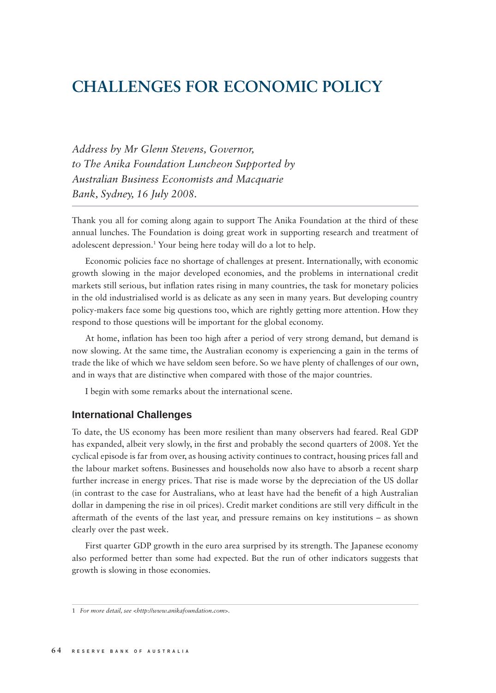## **CHALLENGES FOR ECONOMIC POLICY**

*Address by Mr Glenn Stevens, Governor, to The Anika Foundation Luncheon Supported by Australian Business Economists and Macquarie Bank, Sydney, 16 July 2008.*

Thank you all for coming along again to support The Anika Foundation at the third of these annual lunches. The Foundation is doing great work in supporting research and treatment of adolescent depression.1 Your being here today will do a lot to help.

Economic policies face no shortage of challenges at present. Internationally, with economic growth slowing in the major developed economies, and the problems in international credit markets still serious, but inflation rates rising in many countries, the task for monetary policies in the old industrialised world is as delicate as any seen in many years. But developing country policy-makers face some big questions too, which are rightly getting more attention. How they respond to those questions will be important for the global economy.

At home, inflation has been too high after a period of very strong demand, but demand is now slowing. At the same time, the Australian economy is experiencing a gain in the terms of trade the like of which we have seldom seen before. So we have plenty of challenges of our own, and in ways that are distinctive when compared with those of the major countries.

I begin with some remarks about the international scene.

## **International Challenges**

To date, the US economy has been more resilient than many observers had feared. Real GDP has expanded, albeit very slowly, in the first and probably the second quarters of 2008. Yet the cyclical episode is far from over, as housing activity continues to contract, housing prices fall and the labour market softens. Businesses and households now also have to absorb a recent sharp further increase in energy prices. That rise is made worse by the depreciation of the US dollar (in contrast to the case for Australians, who at least have had the benefi t of a high Australian dollar in dampening the rise in oil prices). Credit market conditions are still very difficult in the aftermath of the events of the last year, and pressure remains on key institutions – as shown clearly over the past week.

First quarter GDP growth in the euro area surprised by its strength. The Japanese economy also performed better than some had expected. But the run of other indicators suggests that growth is slowing in those economies.

<sup>1</sup> *For more detail, see <http://www.anikafoundation.com>.*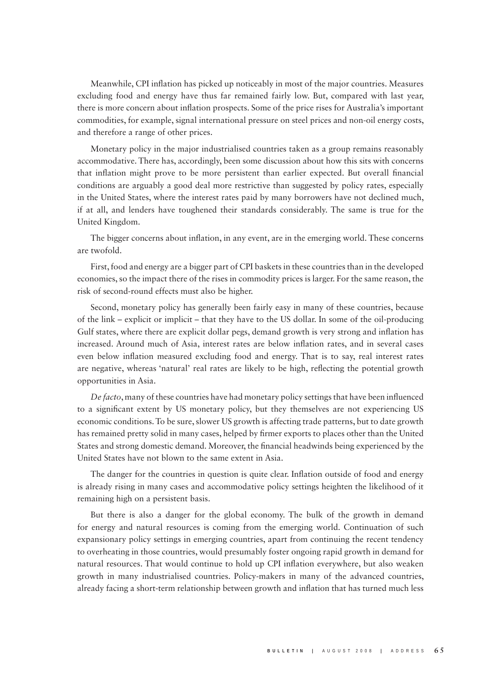Meanwhile, CPI inflation has picked up noticeably in most of the major countries. Measures excluding food and energy have thus far remained fairly low. But, compared with last year, there is more concern about inflation prospects. Some of the price rises for Australia's important commodities, for example, signal international pressure on steel prices and non-oil energy costs, and therefore a range of other prices.

Monetary policy in the major industrialised countries taken as a group remains reasonably accommodative. There has, accordingly, been some discussion about how this sits with concerns that inflation might prove to be more persistent than earlier expected. But overall financial conditions are arguably a good deal more restrictive than suggested by policy rates, especially in the United States, where the interest rates paid by many borrowers have not declined much, if at all, and lenders have toughened their standards considerably. The same is true for the United Kingdom.

The bigger concerns about inflation, in any event, are in the emerging world. These concerns are twofold.

First, food and energy are a bigger part of CPI baskets in these countries than in the developed economies, so the impact there of the rises in commodity prices is larger. For the same reason, the risk of second-round effects must also be higher.

Second, monetary policy has generally been fairly easy in many of these countries, because of the link – explicit or implicit – that they have to the US dollar. In some of the oil-producing Gulf states, where there are explicit dollar pegs, demand growth is very strong and inflation has increased. Around much of Asia, interest rates are below inflation rates, and in several cases even below inflation measured excluding food and energy. That is to say, real interest rates are negative, whereas 'natural' real rates are likely to be high, reflecting the potential growth opportunities in Asia.

De facto, many of these countries have had monetary policy settings that have been influenced to a significant extent by US monetary policy, but they themselves are not experiencing US economic conditions. To be sure, slower US growth is affecting trade patterns, but to date growth has remained pretty solid in many cases, helped by firmer exports to places other than the United States and strong domestic demand. Moreover, the financial headwinds being experienced by the United States have not blown to the same extent in Asia.

The danger for the countries in question is quite clear. Inflation outside of food and energy is already rising in many cases and accommodative policy settings heighten the likelihood of it remaining high on a persistent basis.

But there is also a danger for the global economy. The bulk of the growth in demand for energy and natural resources is coming from the emerging world. Continuation of such expansionary policy settings in emerging countries, apart from continuing the recent tendency to overheating in those countries, would presumably foster ongoing rapid growth in demand for natural resources. That would continue to hold up CPI inflation everywhere, but also weaken growth in many industrialised countries. Policy-makers in many of the advanced countries, already facing a short-term relationship between growth and inflation that has turned much less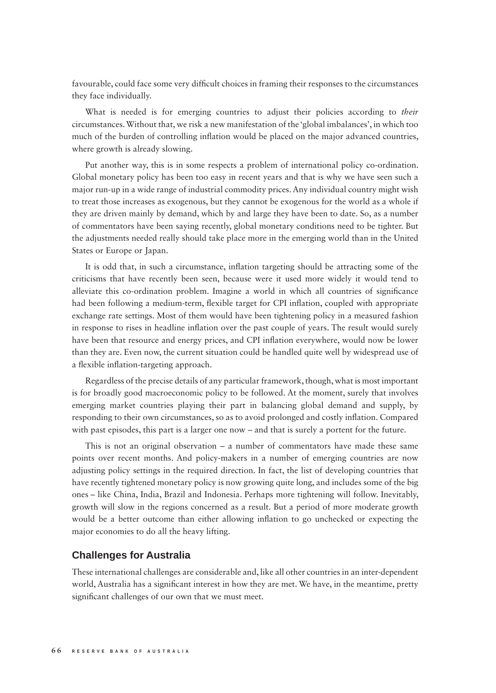favourable, could face some very difficult choices in framing their responses to the circumstances they face individually.

What is needed is for emerging countries to adjust their policies according to *their* circumstances. Without that, we risk a new manifestation of the 'global imbalances', in which too much of the burden of controlling inflation would be placed on the major advanced countries, where growth is already slowing.

Put another way, this is in some respects a problem of international policy co-ordination. Global monetary policy has been too easy in recent years and that is why we have seen such a major run-up in a wide range of industrial commodity prices. Any individual country might wish to treat those increases as exogenous, but they cannot be exogenous for the world as a whole if they are driven mainly by demand, which by and large they have been to date. So, as a number of commentators have been saying recently, global monetary conditions need to be tighter. But the adjustments needed really should take place more in the emerging world than in the United States or Europe or Japan.

It is odd that, in such a circumstance, inflation targeting should be attracting some of the criticisms that have recently been seen, because were it used more widely it would tend to alleviate this co-ordination problem. Imagine a world in which all countries of significance had been following a medium-term, flexible target for CPI inflation, coupled with appropriate exchange rate settings. Most of them would have been tightening policy in a measured fashion in response to rises in headline inflation over the past couple of years. The result would surely have been that resource and energy prices, and CPI inflation everywhere, would now be lower than they are. Even now, the current situation could be handled quite well by widespread use of a flexible inflation-targeting approach.

Regardless of the precise details of any particular framework, though, what is most important is for broadly good macroeconomic policy to be followed. At the moment, surely that involves emerging market countries playing their part in balancing global demand and supply, by responding to their own circumstances, so as to avoid prolonged and costly inflation. Compared with past episodes, this part is a larger one now – and that is surely a portent for the future.

This is not an original observation – a number of commentators have made these same points over recent months. And policy-makers in a number of emerging countries are now adjusting policy settings in the required direction. In fact, the list of developing countries that have recently tightened monetary policy is now growing quite long, and includes some of the big ones – like China, India, Brazil and Indonesia. Perhaps more tightening will follow. Inevitably, growth will slow in the regions concerned as a result. But a period of more moderate growth would be a better outcome than either allowing inflation to go unchecked or expecting the major economies to do all the heavy lifting.

## **Challenges for Australia**

These international challenges are considerable and, like all other countries in an inter-dependent world, Australia has a significant interest in how they are met. We have, in the meantime, pretty significant challenges of our own that we must meet.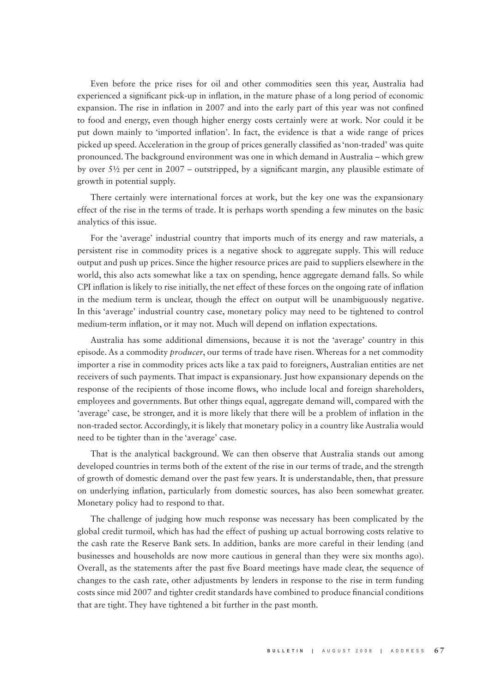Even before the price rises for oil and other commodities seen this year, Australia had experienced a significant pick-up in inflation, in the mature phase of a long period of economic expansion. The rise in inflation in 2007 and into the early part of this year was not confined to food and energy, even though higher energy costs certainly were at work. Nor could it be put down mainly to 'imported inflation'. In fact, the evidence is that a wide range of prices picked up speed. Acceleration in the group of prices generally classified as 'non-traded' was quite pronounced. The background environment was one in which demand in Australia – which grew by over  $5\frac{1}{2}$  per cent in 2007 – outstripped, by a significant margin, any plausible estimate of growth in potential supply.

There certainly were international forces at work, but the key one was the expansionary effect of the rise in the terms of trade. It is perhaps worth spending a few minutes on the basic analytics of this issue.

For the 'average' industrial country that imports much of its energy and raw materials, a persistent rise in commodity prices is a negative shock to aggregate supply. This will reduce output and push up prices. Since the higher resource prices are paid to suppliers elsewhere in the world, this also acts somewhat like a tax on spending, hence aggregate demand falls. So while CPI inflation is likely to rise initially, the net effect of these forces on the ongoing rate of inflation in the medium term is unclear, though the effect on output will be unambiguously negative. In this 'average' industrial country case, monetary policy may need to be tightened to control medium-term inflation, or it may not. Much will depend on inflation expectations.

Australia has some additional dimensions, because it is not the 'average' country in this episode. As a commodity *producer*, our terms of trade have risen. Whereas for a net commodity importer a rise in commodity prices acts like a tax paid to foreigners, Australian entities are net receivers of such payments. That impact is expansionary. Just how expansionary depends on the response of the recipients of those income flows, who include local and foreign shareholders, employees and governments. But other things equal, aggregate demand will, compared with the 'average' case, be stronger, and it is more likely that there will be a problem of inflation in the non-traded sector. Accordingly, it is likely that monetary policy in a country like Australia would need to be tighter than in the 'average' case.

That is the analytical background. We can then observe that Australia stands out among developed countries in terms both of the extent of the rise in our terms of trade, and the strength of growth of domestic demand over the past few years. It is understandable, then, that pressure on underlying inflation, particularly from domestic sources, has also been somewhat greater. Monetary policy had to respond to that.

The challenge of judging how much response was necessary has been complicated by the global credit turmoil, which has had the effect of pushing up actual borrowing costs relative to the cash rate the Reserve Bank sets. In addition, banks are more careful in their lending (and businesses and households are now more cautious in general than they were six months ago). Overall, as the statements after the past five Board meetings have made clear, the sequence of changes to the cash rate, other adjustments by lenders in response to the rise in term funding costs since mid 2007 and tighter credit standards have combined to produce financial conditions that are tight. They have tightened a bit further in the past month.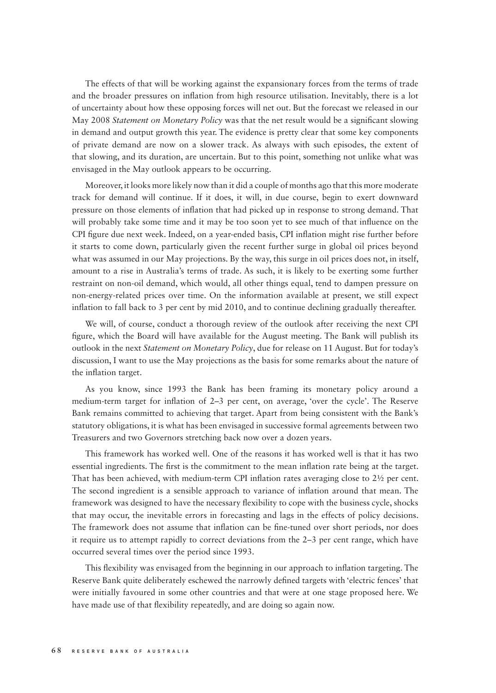The effects of that will be working against the expansionary forces from the terms of trade and the broader pressures on inflation from high resource utilisation. Inevitably, there is a lot of uncertainty about how these opposing forces will net out. But the forecast we released in our May 2008 *Statement on Monetary Policy* was that the net result would be a significant slowing in demand and output growth this year. The evidence is pretty clear that some key components of private demand are now on a slower track. As always with such episodes, the extent of that slowing, and its duration, are uncertain. But to this point, something not unlike what was envisaged in the May outlook appears to be occurring.

Moreover, it looks more likely now than it did a couple of months ago that this more moderate track for demand will continue. If it does, it will, in due course, begin to exert downward pressure on those elements of inflation that had picked up in response to strong demand. That will probably take some time and it may be too soon yet to see much of that influence on the CPI figure due next week. Indeed, on a year-ended basis, CPI inflation might rise further before it starts to come down, particularly given the recent further surge in global oil prices beyond what was assumed in our May projections. By the way, this surge in oil prices does not, in itself, amount to a rise in Australia's terms of trade. As such, it is likely to be exerting some further restraint on non-oil demand, which would, all other things equal, tend to dampen pressure on non-energy-related prices over time. On the information available at present, we still expect inflation to fall back to 3 per cent by mid 2010, and to continue declining gradually thereafter.

We will, of course, conduct a thorough review of the outlook after receiving the next CPI figure, which the Board will have available for the August meeting. The Bank will publish its outlook in the next *Statement on Monetary Policy*, due for release on 11 August. But for today's discussion, I want to use the May projections as the basis for some remarks about the nature of the inflation target.

As you know, since 1993 the Bank has been framing its monetary policy around a medium-term target for inflation of 2-3 per cent, on average, 'over the cycle'. The Reserve Bank remains committed to achieving that target. Apart from being consistent with the Bank's statutory obligations, it is what has been envisaged in successive formal agreements between two Treasurers and two Governors stretching back now over a dozen years.

This framework has worked well. One of the reasons it has worked well is that it has two essential ingredients. The first is the commitment to the mean inflation rate being at the target. That has been achieved, with medium-term CPI inflation rates averaging close to  $2\frac{1}{2}$  per cent. The second ingredient is a sensible approach to variance of inflation around that mean. The framework was designed to have the necessary flexibility to cope with the business cycle, shocks that may occur, the inevitable errors in forecasting and lags in the effects of policy decisions. The framework does not assume that inflation can be fine-tuned over short periods, nor does it require us to attempt rapidly to correct deviations from the 2–3 per cent range, which have occurred several times over the period since 1993.

This flexibility was envisaged from the beginning in our approach to inflation targeting. The Reserve Bank quite deliberately eschewed the narrowly defined targets with 'electric fences' that were initially favoured in some other countries and that were at one stage proposed here. We have made use of that flexibility repeatedly, and are doing so again now.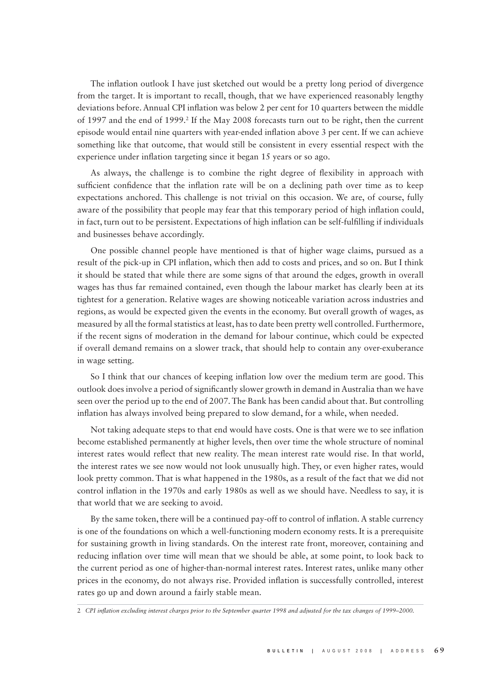The inflation outlook I have just sketched out would be a pretty long period of divergence from the target. It is important to recall, though, that we have experienced reasonably lengthy deviations before. Annual CPI inflation was below 2 per cent for 10 quarters between the middle of 1997 and the end of 1999.<sup>2</sup> If the May 2008 forecasts turn out to be right, then the current episode would entail nine quarters with year-ended inflation above 3 per cent. If we can achieve something like that outcome, that would still be consistent in every essential respect with the experience under inflation targeting since it began 15 years or so ago.

As always, the challenge is to combine the right degree of flexibility in approach with sufficient confidence that the inflation rate will be on a declining path over time as to keep expectations anchored. This challenge is not trivial on this occasion. We are, of course, fully aware of the possibility that people may fear that this temporary period of high inflation could, in fact, turn out to be persistent. Expectations of high inflation can be self-fulfilling if individuals and businesses behave accordingly.

One possible channel people have mentioned is that of higher wage claims, pursued as a result of the pick-up in CPI inflation, which then add to costs and prices, and so on. But I think it should be stated that while there are some signs of that around the edges, growth in overall wages has thus far remained contained, even though the labour market has clearly been at its tightest for a generation. Relative wages are showing noticeable variation across industries and regions, as would be expected given the events in the economy. But overall growth of wages, as measured by all the formal statistics at least, has to date been pretty well controlled. Furthermore, if the recent signs of moderation in the demand for labour continue, which could be expected if overall demand remains on a slower track, that should help to contain any over-exuberance in wage setting.

So I think that our chances of keeping inflation low over the medium term are good. This outlook does involve a period of significantly slower growth in demand in Australia than we have seen over the period up to the end of 2007. The Bank has been candid about that. But controlling inflation has always involved being prepared to slow demand, for a while, when needed.

Not taking adequate steps to that end would have costs. One is that were we to see inflation become established permanently at higher levels, then over time the whole structure of nominal interest rates would reflect that new reality. The mean interest rate would rise. In that world, the interest rates we see now would not look unusually high. They, or even higher rates, would look pretty common. That is what happened in the 1980s, as a result of the fact that we did not control inflation in the 1970s and early 1980s as well as we should have. Needless to say, it is that world that we are seeking to avoid.

By the same token, there will be a continued pay-off to control of inflation. A stable currency is one of the foundations on which a well-functioning modern economy rests. It is a prerequisite for sustaining growth in living standards. On the interest rate front, moreover, containing and reducing inflation over time will mean that we should be able, at some point, to look back to the current period as one of higher-than-normal interest rates. Interest rates, unlike many other prices in the economy, do not always rise. Provided inflation is successfully controlled, interest rates go up and down around a fairly stable mean.

2 *CPI infl ation excluding interest charges prior to the September quarter 1998 and adjusted for the tax changes of 1999–2000.*